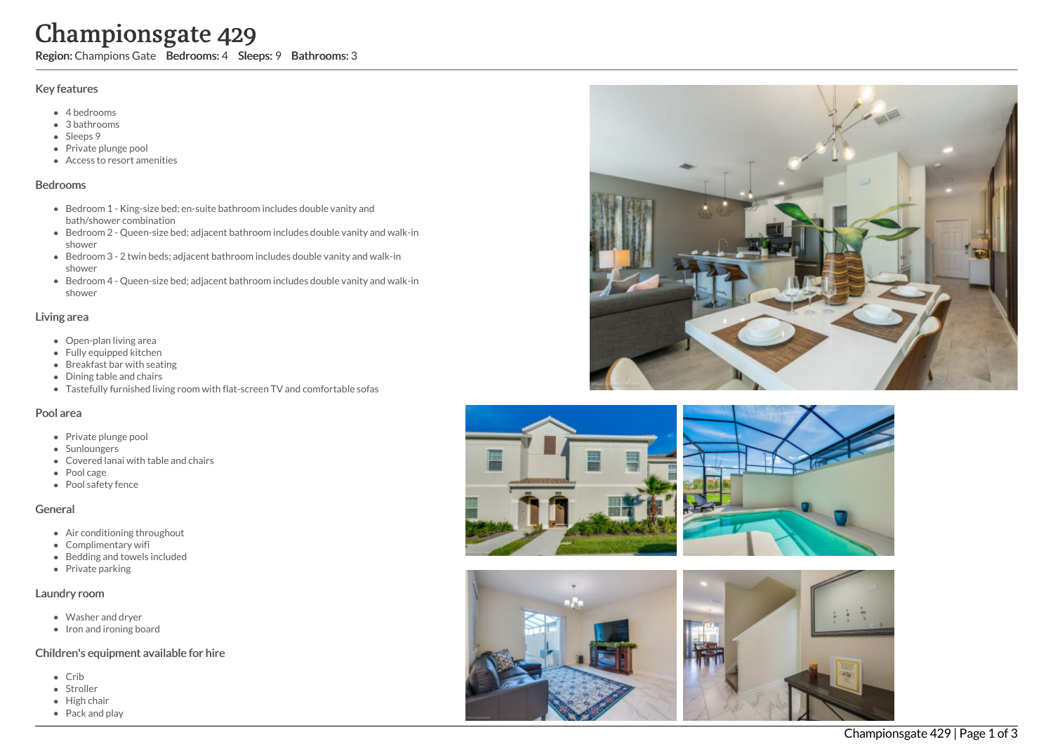# Championsgate 429

Region: Champions Gate Bedrooms: 4 Sleeps: 9 Bathrooms: 3

#### Key features

- 4 b e d r o o m s
- 3 b a t h r o o m s
- Sleeps 9
- Private plunge pool
- Access to resort amenities

#### **Bedrooms**

- Bedroom 1 King-size bed; en-suite bathroom includes double vanity and bath/shower combination
- Bedroom 2 Queen-size bed; adjacent bathroom includes double vanity and walk-in s h o w e r
- Bedroom 3 2 twin beds; adjacent bathroom includes double vanity and walk-in s h o w e r
- Bedroom 4 Queen-size bed; adjacent bathroom includes double vanity and walk-in s h o w e r

#### Living area

- Open-plan living area
- Fully equipped kitchen
- Breakfast bar with seating
- Dining table and chairs
- Tastefully furnished living room with flat-screen TV and comfortable sofas

## Pool area

- Private plunge pool
- Sunloungers
- Covered lanai with table and chairs
- Pool cage
- Pool safety fence

## General

- Air conditioning throughout
- Complimentary wifi
- Bedding and towels in clu d e d
- Private parking

## Laundry room

- Washer and dryer
- Iron and ironing board

## Children's equipment available for hire

- C rib
- Stroller
- Hig h c h air
- Pack and play







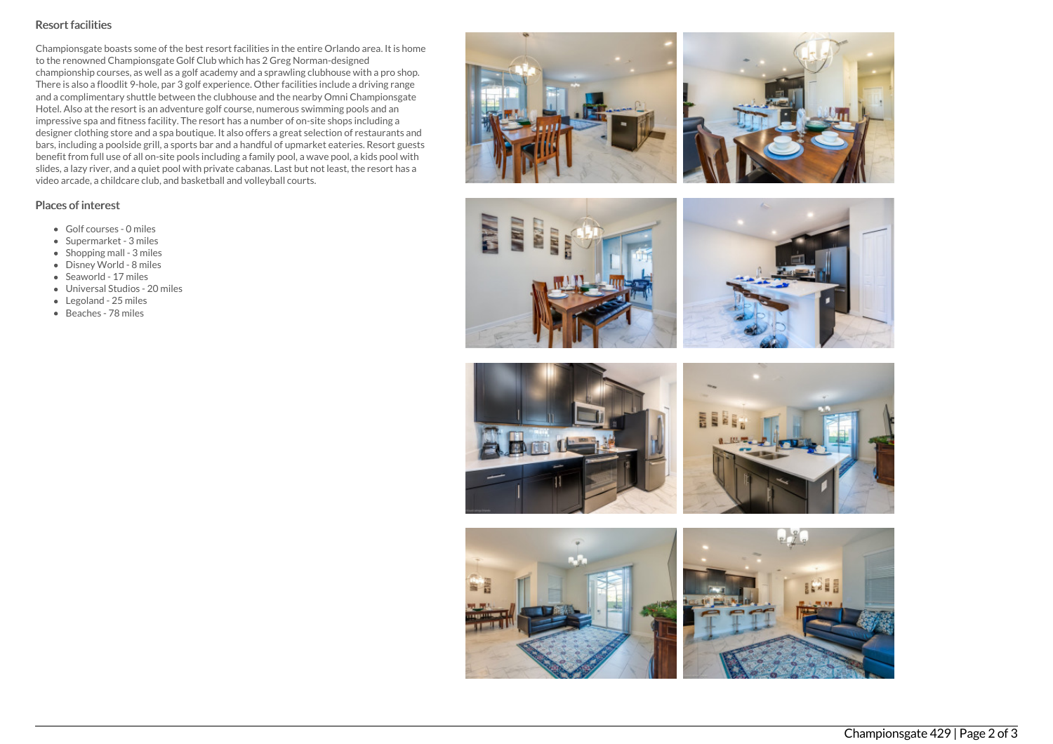# Resort facilities

Championsgate boasts some of the best resort facilities in the entire Orlando area. It is home to the renowned Championsgate Golf Club which has 2 Greg Norman-designed championship courses, as well as a golf academy and a sprawling clubhouse with a pro shop. There is also a floodlit 9-hole, par 3 golf experience. Other facilities include a driving range and a complimentary shuttle between the clubhouse and the nearby Omni Championsgate Hotel. Also at the resort is an adventure golf course, numerous swimming pools and an impressive spa and fitness facility. The resort has a number of on-site shops including a designer clothing store and a spa boutique. It also offers a great selection of restaurants and bars, including a poolside grill, a sports bar and a handful of upmarket eateries. Resort guests benefit from full use of all on-site pools including a family pool, a wave pool, a kids pool with slides, a lazy river, and a quiet pool with private cabanas. Last but not least, the resort has a video arcade, a childcare club, and basketball and volleyball courts.

# Places of interest

- Golf courses 0 miles
- Supermarket 3 miles
- Shopping mall 3 miles
- Disney World 8 miles
- Seaworld 17 miles
- Universal Studios 20 miles
- Legoland 25 miles
- Beaches 78 miles